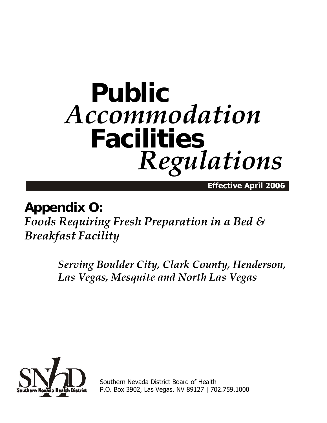# **Public** *Accommodation* **Facilities** *Regulations*

Effective April 2006

## **Appendix O:**

*Foods Requiring Fresh Preparation in a Bed & Breakfast Facility* 

> *Serving Boulder City, Clark County, Henderson, Las Vegas, Mesquite and North Las Vegas*



Southern Nevada District Board of Health P.O. Box 3902, Las Vegas, NV 89127 | 702.759.1000